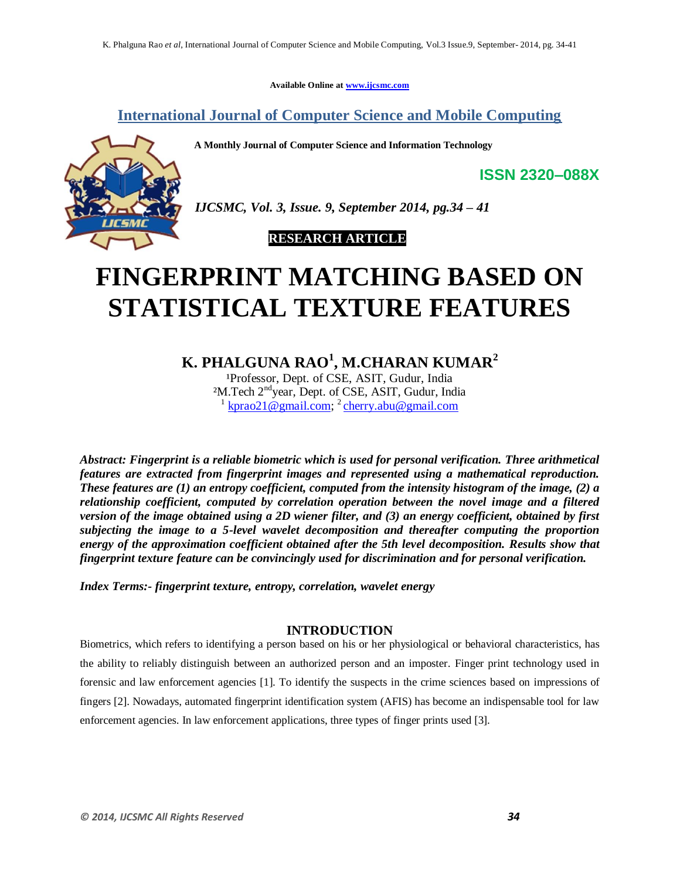**Available Online at www.ijcsmc.com**

**International Journal of Computer Science and Mobile Computing**

**A Monthly Journal of Computer Science and Information Technology**



*IJCSMC, Vol. 3, Issue. 9, September 2014, pg.34 – 41*

 **RESEARCH ARTICLE**

# **FINGERPRINT MATCHING BASED ON STATISTICAL TEXTURE FEATURES**

**K. PHALGUNA RAO<sup>1</sup> , M.CHARAN KUMAR<sup>2</sup>**

<sup>1</sup>Professor, Dept. of CSE, ASIT, Gudur, India <sup>2</sup>M.Tech 2<sup>nd</sup>year, Dept. of CSE, ASIT, Gudur, India <sup>1</sup> kprao21@gmail.com; <sup>2</sup> cherry.abu@gmail.com

*Abstract: Fingerprint is a reliable biometric which is used for personal verification. Three arithmetical features are extracted from fingerprint images and represented using a mathematical reproduction. These features are (1) an entropy coefficient, computed from the intensity histogram of the image, (2) a relationship coefficient, computed by correlation operation between the novel image and a filtered version of the image obtained using a 2D wiener filter, and (3) an energy coefficient, obtained by first subjecting the image to a 5-level wavelet decomposition and thereafter computing the proportion energy of the approximation coefficient obtained after the 5th level decomposition. Results show that fingerprint texture feature can be convincingly used for discrimination and for personal verification.*

*Index Terms:- fingerprint texture, entropy, correlation, wavelet energy*

# **INTRODUCTION**

Biometrics, which refers to identifying a person based on his or her physiological or behavioral characteristics, has the ability to reliably distinguish between an authorized person and an imposter. Finger print technology used in forensic and law enforcement agencies [1]. To identify the suspects in the crime sciences based on impressions of fingers [2]. Nowadays, automated fingerprint identification system (AFIS) has become an indispensable tool for law enforcement agencies. In law enforcement applications, three types of finger prints used [3].

**ISSN 2320–088X**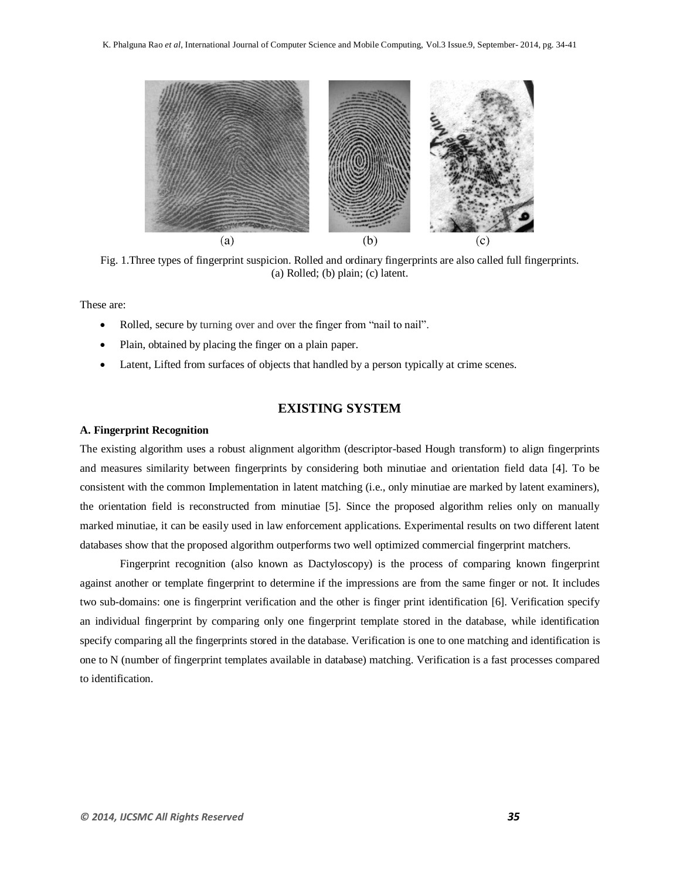

Fig. 1.Three types of fingerprint suspicion. Rolled and ordinary fingerprints are also called full fingerprints. (a) Rolled; (b) plain; (c) latent.

These are:

- Rolled, secure by turning over and over the finger from "nail to nail".
- Plain, obtained by placing the finger on a plain paper.
- Latent, Lifted from surfaces of objects that handled by a person typically at crime scenes.

# **EXISTING SYSTEM**

#### **A. Fingerprint Recognition**

The existing algorithm uses a robust alignment algorithm (descriptor-based Hough transform) to align fingerprints and measures similarity between fingerprints by considering both minutiae and orientation field data [4]. To be consistent with the common Implementation in latent matching (i.e., only minutiae are marked by latent examiners), the orientation field is reconstructed from minutiae [5]. Since the proposed algorithm relies only on manually marked minutiae, it can be easily used in law enforcement applications. Experimental results on two different latent databases show that the proposed algorithm outperforms two well optimized commercial fingerprint matchers.

Fingerprint recognition (also known as Dactyloscopy) is the process of comparing known fingerprint against another or template fingerprint to determine if the impressions are from the same finger or not. It includes two sub-domains: one is fingerprint verification and the other is finger print identification [6]. Verification specify an individual fingerprint by comparing only one fingerprint template stored in the database, while identification specify comparing all the fingerprints stored in the database. Verification is one to one matching and identification is one to N (number of fingerprint templates available in database) matching. Verification is a fast processes compared to identification.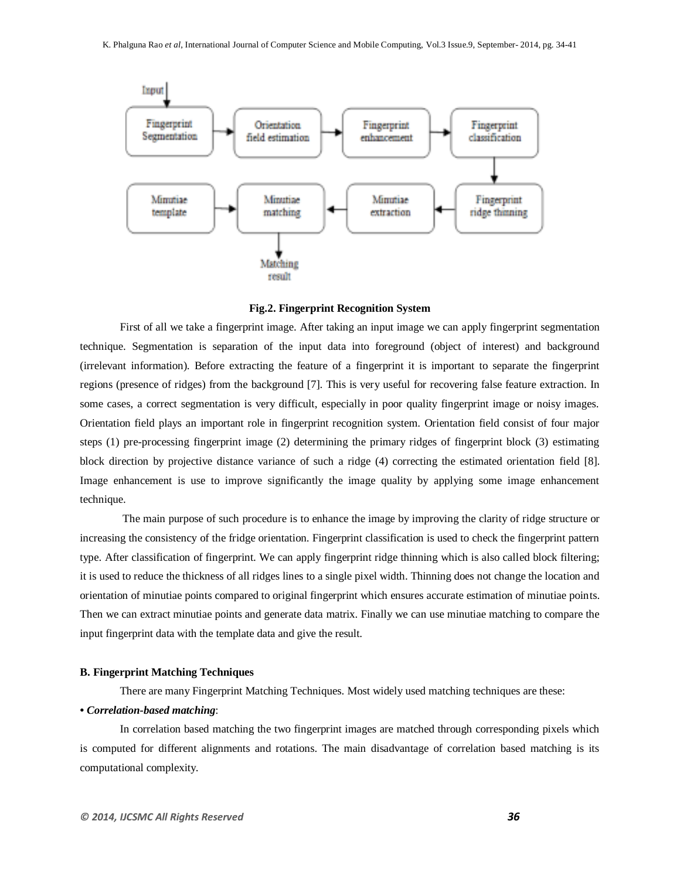

**Fig.2. Fingerprint Recognition System**

First of all we take a fingerprint image. After taking an input image we can apply fingerprint segmentation technique. Segmentation is separation of the input data into foreground (object of interest) and background (irrelevant information). Before extracting the feature of a fingerprint it is important to separate the fingerprint regions (presence of ridges) from the background [7]. This is very useful for recovering false feature extraction. In some cases, a correct segmentation is very difficult, especially in poor quality fingerprint image or noisy images. Orientation field plays an important role in fingerprint recognition system. Orientation field consist of four major steps (1) pre-processing fingerprint image (2) determining the primary ridges of fingerprint block (3) estimating block direction by projective distance variance of such a ridge (4) correcting the estimated orientation field [8]. Image enhancement is use to improve significantly the image quality by applying some image enhancement technique.

The main purpose of such procedure is to enhance the image by improving the clarity of ridge structure or increasing the consistency of the fridge orientation. Fingerprint classification is used to check the fingerprint pattern type. After classification of fingerprint. We can apply fingerprint ridge thinning which is also called block filtering; it is used to reduce the thickness of all ridges lines to a single pixel width. Thinning does not change the location and orientation of minutiae points compared to original fingerprint which ensures accurate estimation of minutiae points. Then we can extract minutiae points and generate data matrix. Finally we can use minutiae matching to compare the input fingerprint data with the template data and give the result.

#### **B. Fingerprint Matching Techniques**

There are many Fingerprint Matching Techniques. Most widely used matching techniques are these:

#### *• Correlation-based matching*:

In correlation based matching the two fingerprint images are matched through corresponding pixels which is computed for different alignments and rotations. The main disadvantage of correlation based matching is its computational complexity.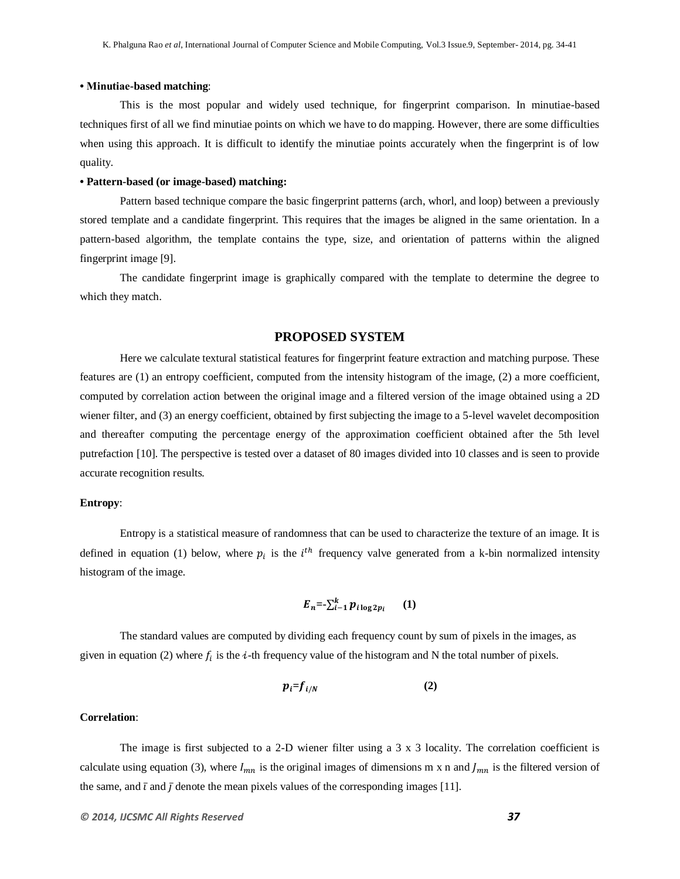#### **• Minutiae-based matching**:

This is the most popular and widely used technique, for fingerprint comparison. In minutiae-based techniques first of all we find minutiae points on which we have to do mapping. However, there are some difficulties when using this approach. It is difficult to identify the minutiae points accurately when the fingerprint is of low quality.

#### **• Pattern-based (or image-based) matching:**

Pattern based technique compare the basic fingerprint patterns (arch, whorl, and loop) between a previously stored template and a candidate fingerprint. This requires that the images be aligned in the same orientation. In a pattern-based algorithm, the template contains the type, size, and orientation of patterns within the aligned fingerprint image [9].

The candidate fingerprint image is graphically compared with the template to determine the degree to which they match.

#### **PROPOSED SYSTEM**

Here we calculate textural statistical features for fingerprint feature extraction and matching purpose. These features are (1) an entropy coefficient, computed from the intensity histogram of the image, (2) a more coefficient, computed by correlation action between the original image and a filtered version of the image obtained using a 2D wiener filter, and (3) an energy coefficient, obtained by first subjecting the image to a 5-level wavelet decomposition and thereafter computing the percentage energy of the approximation coefficient obtained after the 5th level putrefaction [10]. The perspective is tested over a dataset of 80 images divided into 10 classes and is seen to provide accurate recognition results*.*

#### **Entropy**:

Entropy is a statistical measure of randomness that can be used to characterize the texture of an image. It is defined in equation (1) below, where  $p_i$  is the  $i^{th}$  frequency valve generated from a k-bin normalized intensity histogram of the image.

$$
E_n = \sum_{i=1}^k p_{i \log 2p_i} \qquad (1)
$$

The standard values are computed by dividing each frequency count by sum of pixels in the images, as given in equation (2) where  $f_i$  is the i-th frequency value of the histogram and N the total number of pixels.

$$
p_i = f_{i/N} \tag{2}
$$

#### **Correlation**:

The image is first subjected to a 2-D wiener filter using a 3 x 3 locality. The correlation coefficient is calculate using equation (3), where  $I_{mn}$  is the original images of dimensions m x n and  $J_{mn}$  is the filtered version of the same, and  $\bar{\iota}$  and  $\bar{\jmath}$  denote the mean pixels values of the corresponding images [11].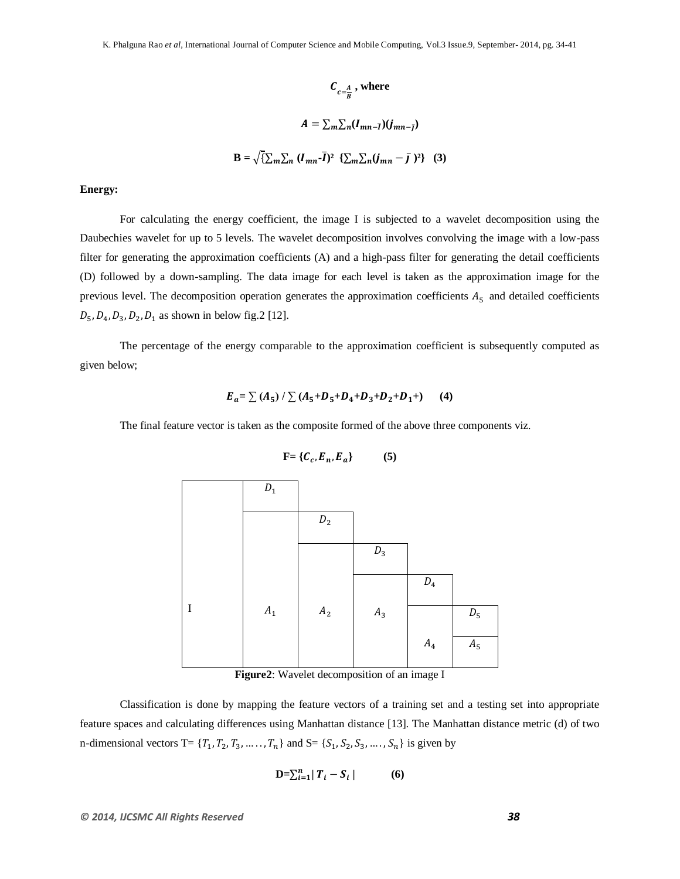$$
C_{c=\frac{A}{B}}, \text{ where}
$$

$$
A = \sum_{m} \sum_{n} (I_{mn-1})(j_{mn-j})
$$

$$
B = \sqrt{\sum_{m} \sum_{n} (I_{mn} - \bar{I})^2} \{ \sum_{m} \sum_{n} (j_{mn} - \bar{I})^2 \} (3)
$$

#### **Energy:**

For calculating the energy coefficient, the image I is subjected to a wavelet decomposition using the Daubechies wavelet for up to 5 levels. The wavelet decomposition involves convolving the image with a low-pass filter for generating the approximation coefficients (A) and a high-pass filter for generating the detail coefficients (D) followed by a down-sampling. The data image for each level is taken as the approximation image for the previous level. The decomposition operation generates the approximation coefficients  $A_5$  and detailed coefficients  $D_5$ ,  $D_4$ ,  $D_3$ ,  $D_2$ ,  $D_1$  as shown in below fig. 2 [12].

The percentage of the energy comparable to the approximation coefficient is subsequently computed as given below;

$$
E_a = \sum (A_5) / \sum (A_5 + D_5 + D_4 + D_3 + D_2 + D_1 +)
$$
 (4)

The final feature vector is taken as the composite formed of the above three components viz.

$$
\mathbf{F} = \{ \mathcal{C}_c, \mathcal{E}_n, \mathcal{E}_a \} \tag{5}
$$



**Figure2**: Wavelet decomposition of an image I

Classification is done by mapping the feature vectors of a training set and a testing set into appropriate feature spaces and calculating differences using Manhattan distance [13]. The Manhattan distance metric (d) of two n-dimensional vectors  $T = \{T_1, T_2, T_3, \dots, T_n\}$  and  $S = \{S_1, S_2, S_3, \dots, S_n\}$  is given by

$$
\mathbf{D} = \sum_{i=1}^{n} |T_i - S_i|
$$
 (6)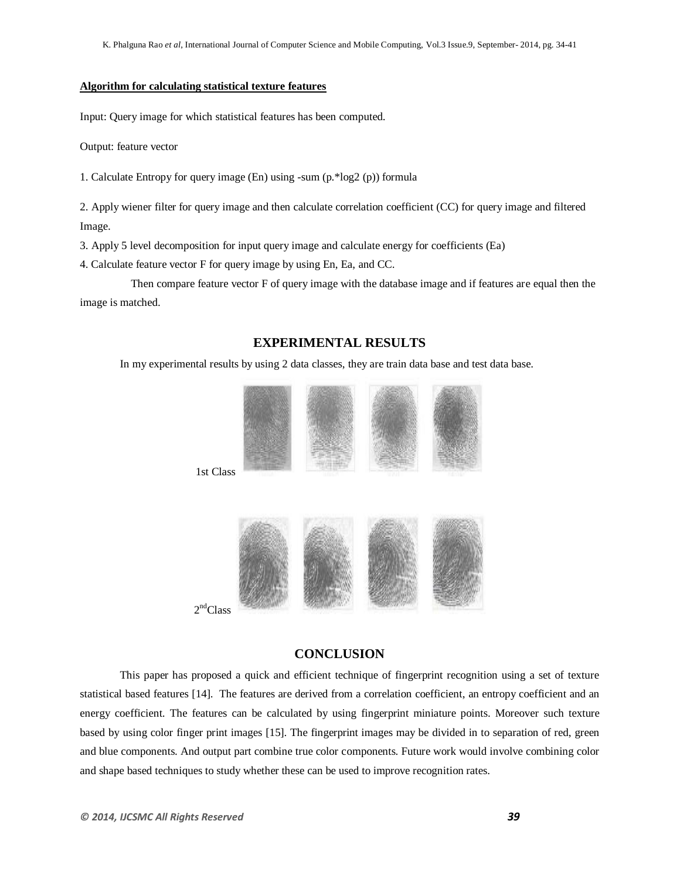#### **Algorithm for calculating statistical texture features**

Input: Query image for which statistical features has been computed.

Output: feature vector

1. Calculate Entropy for query image (En) using -sum (p.\*log2 (p)) formula

2. Apply wiener filter for query image and then calculate correlation coefficient (CC) for query image and filtered Image.

3. Apply 5 level decomposition for input query image and calculate energy for coefficients (Ea)

4. Calculate feature vector F for query image by using En, Ea, and CC.

Then compare feature vector F of query image with the database image and if features are equal then the image is matched.

## **EXPERIMENTAL RESULTS**

In my experimental results by using 2 data classes, they are train data base and test data base.



# **CONCLUSION**

This paper has proposed a quick and efficient technique of fingerprint recognition using a set of texture statistical based features [14]. The features are derived from a correlation coefficient, an entropy coefficient and an energy coefficient. The features can be calculated by using fingerprint miniature points. Moreover such texture based by using color finger print images [15]. The fingerprint images may be divided in to separation of red, green and blue components. And output part combine true color components. Future work would involve combining color and shape based techniques to study whether these can be used to improve recognition rates.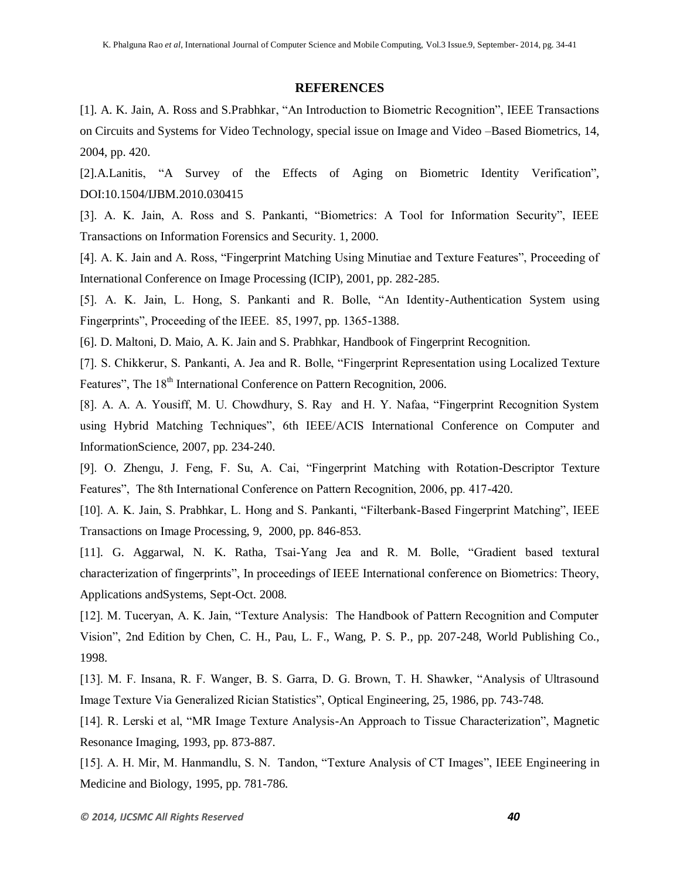## **REFERENCES**

[1]. A. K. Jain, A. Ross and S.Prabhkar, "An Introduction to Biometric Recognition", IEEE Transactions on Circuits and Systems for Video Technology, special issue on Image and Video –Based Biometrics, 14, 2004, pp. 420.

[2].A.Lanitis, "A Survey of the Effects of Aging on Biometric Identity Verification", DOI:10.1504/IJBM.2010.030415

[3]. A. K. Jain, A. Ross and S. Pankanti, "Biometrics: A Tool for Information Security", IEEE Transactions on Information Forensics and Security. 1, 2000.

[4]. A. K. Jain and A. Ross, "Fingerprint Matching Using Minutiae and Texture Features", Proceeding of International Conference on Image Processing (ICIP), 2001, pp. 282-285.

[5]. A. K. Jain, L. Hong, S. Pankanti and R. Bolle, "An Identity-Authentication System using Fingerprints", Proceeding of the IEEE. 85, 1997, pp. 1365-1388.

[6]. D. Maltoni, D. Maio, A. K. Jain and S. Prabhkar, Handbook of Fingerprint Recognition.

[7]. S. Chikkerur, S. Pankanti, A. Jea and R. Bolle, "Fingerprint Representation using Localized Texture Features", The 18<sup>th</sup> International Conference on Pattern Recognition, 2006.

[8]. A. A. A. Yousiff, M. U. Chowdhury, S. Ray and H. Y. Nafaa, "Fingerprint Recognition System using Hybrid Matching Techniques", 6th IEEE/ACIS International Conference on Computer and InformationScience, 2007, pp. 234-240.

[9]. O. Zhengu, J. Feng, F. Su, A. Cai, "Fingerprint Matching with Rotation-Descriptor Texture Features", The 8th International Conference on Pattern Recognition, 2006, pp. 417-420.

[10]. A. K. Jain, S. Prabhkar, L. Hong and S. Pankanti, "Filterbank-Based Fingerprint Matching", IEEE Transactions on Image Processing, 9, 2000, pp. 846-853.

[11]. G. Aggarwal, N. K. Ratha, Tsai-Yang Jea and R. M. Bolle, "Gradient based textural characterization of fingerprints", In proceedings of IEEE International conference on Biometrics: Theory, Applications andSystems, Sept-Oct. 2008.

[12]. M. Tuceryan, A. K. Jain, "Texture Analysis: The Handbook of Pattern Recognition and Computer Vision", 2nd Edition by Chen, C. H., Pau, L. F., Wang, P. S. P., pp. 207-248, World Publishing Co., 1998.

[13]. M. F. Insana, R. F. Wanger, B. S. Garra, D. G. Brown, T. H. Shawker, "Analysis of Ultrasound Image Texture Via Generalized Rician Statistics", Optical Engineering, 25, 1986, pp. 743-748.

[14]. R. Lerski et al, "MR Image Texture Analysis-An Approach to Tissue Characterization", Magnetic Resonance Imaging, 1993, pp. 873-887.

[15]. A. H. Mir, M. Hanmandlu, S. N. Tandon, "Texture Analysis of CT Images", IEEE Engineering in Medicine and Biology, 1995, pp. 781-786.